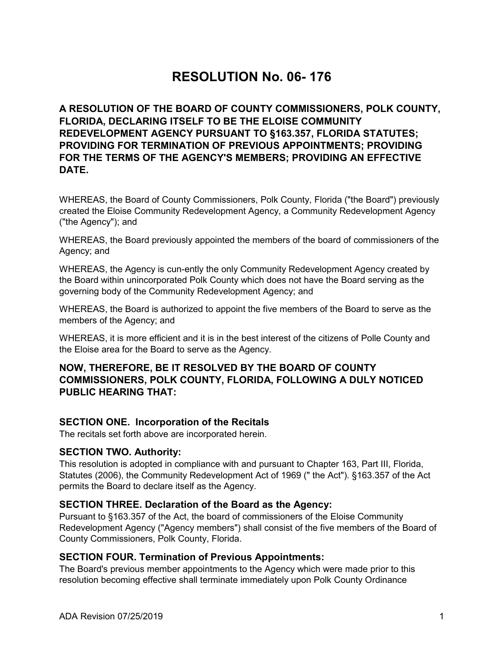# **RESOLUTION No. 06- 176**

**A RESOLUTION OF THE BOARD OF COUNTY COMMISSIONERS, POLK COUNTY, FLORIDA, DECLARING ITSELF TO BE THE ELOISE COMMUNITY REDEVELOPMENT AGENCY PURSUANT TO §163.357, FLORIDA STATUTES; PROVIDING FOR TERMINATION OF PREVIOUS APPOINTMENTS; PROVIDING FOR THE TERMS OF THE AGENCY'S MEMBERS; PROVIDING AN EFFECTIVE DATE.**

WHEREAS, the Board of County Commissioners, Polk County, Florida ("the Board") previously created the Eloise Community Redevelopment Agency, a Community Redevelopment Agency ("the Agency"); and

WHEREAS, the Board previously appointed the members of the board of commissioners of the Agency; and

WHEREAS, the Agency is cun-ently the only Community Redevelopment Agency created by the Board within unincorporated Polk County which does not have the Board serving as the governing body of the Community Redevelopment Agency; and

WHEREAS, the Board is authorized to appoint the five members of the Board to serve as the members of the Agency; and

WHEREAS, it is more efficient and it is in the best interest of the citizens of Polle County and the Eloise area for the Board to serve as the Agency.

## **NOW, THEREFORE, BE IT RESOLVED BY THE BOARD OF COUNTY COMMISSIONERS, POLK COUNTY, FLORIDA, FOLLOWING A DULY NOTICED PUBLIC HEARING THAT:**

## **SECTION ONE. Incorporation of the Recitals**

The recitals set forth above are incorporated herein.

#### **SECTION TWO. Authority:**

This resolution is adopted in compliance with and pursuant to Chapter 163, Part III, Florida, Statutes (2006), the Community Redevelopment Act of 1969 (" the Act"). §163.357 of the Act permits the Board to declare itself as the Agency.

#### **SECTION THREE. Declaration of the Board as the Agency:**

Pursuant to §163.357 of the Act, the board of commissioners of the Eloise Community Redevelopment Agency ("Agency members") shall consist of the five members of the Board of County Commissioners, Polk County, Florida.

#### **SECTION FOUR. Termination of Previous Appointments:**

The Board's previous member appointments to the Agency which were made prior to this resolution becoming effective shall terminate immediately upon Polk County Ordinance